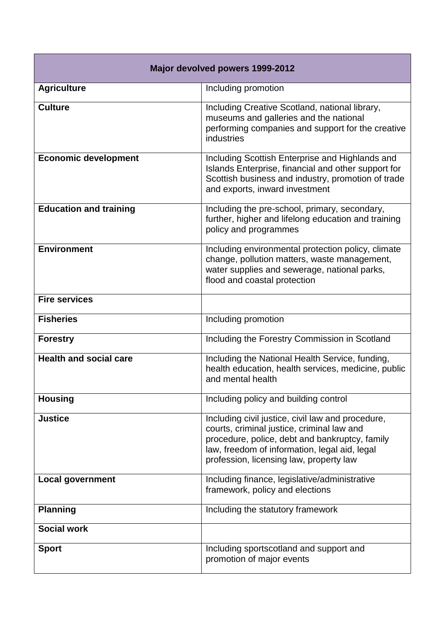| Major devolved powers 1999-2012 |                                                                                                                                                                                                                                               |  |
|---------------------------------|-----------------------------------------------------------------------------------------------------------------------------------------------------------------------------------------------------------------------------------------------|--|
| <b>Agriculture</b>              | Including promotion                                                                                                                                                                                                                           |  |
| <b>Culture</b>                  | Including Creative Scotland, national library,<br>museums and galleries and the national<br>performing companies and support for the creative<br>industries                                                                                   |  |
| <b>Economic development</b>     | Including Scottish Enterprise and Highlands and<br>Islands Enterprise, financial and other support for<br>Scottish business and industry, promotion of trade<br>and exports, inward investment                                                |  |
| <b>Education and training</b>   | Including the pre-school, primary, secondary,<br>further, higher and lifelong education and training<br>policy and programmes                                                                                                                 |  |
| <b>Environment</b>              | Including environmental protection policy, climate<br>change, pollution matters, waste management,<br>water supplies and sewerage, national parks,<br>flood and coastal protection                                                            |  |
| <b>Fire services</b>            |                                                                                                                                                                                                                                               |  |
| <b>Fisheries</b>                | Including promotion                                                                                                                                                                                                                           |  |
| <b>Forestry</b>                 | Including the Forestry Commission in Scotland                                                                                                                                                                                                 |  |
| <b>Health and social care</b>   | Including the National Health Service, funding,<br>health education, health services, medicine, public<br>and mental health                                                                                                                   |  |
| <b>Housing</b>                  | Including policy and building control                                                                                                                                                                                                         |  |
| <b>Justice</b>                  | Including civil justice, civil law and procedure,<br>courts, criminal justice, criminal law and<br>procedure, police, debt and bankruptcy, family<br>law, freedom of information, legal aid, legal<br>profession, licensing law, property law |  |
| <b>Local government</b>         | Including finance, legislative/administrative<br>framework, policy and elections                                                                                                                                                              |  |
| <b>Planning</b>                 | Including the statutory framework                                                                                                                                                                                                             |  |
| <b>Social work</b>              |                                                                                                                                                                                                                                               |  |
| <b>Sport</b>                    | Including sportscotland and support and<br>promotion of major events                                                                                                                                                                          |  |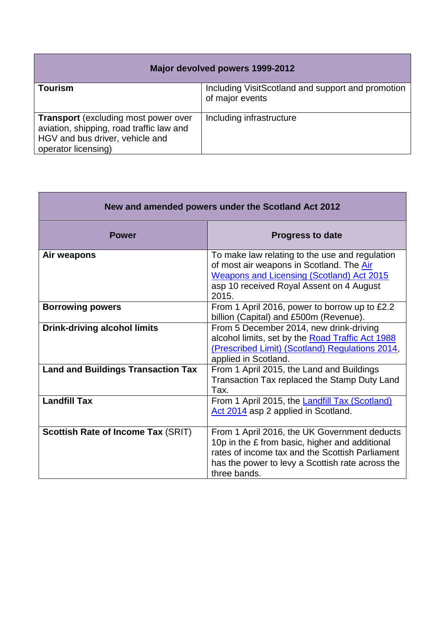| Major devolved powers 1999-2012                                                                                                                   |                                                                      |  |
|---------------------------------------------------------------------------------------------------------------------------------------------------|----------------------------------------------------------------------|--|
| Tourism                                                                                                                                           | Including VisitScotland and support and promotion<br>of major events |  |
| <b>Transport</b> (excluding most power over<br>aviation, shipping, road traffic law and<br>HGV and bus driver, vehicle and<br>operator licensing) | Including infrastructure                                             |  |

| New and amended powers under the Scotland Act 2012 |                                                                                                                                                                                                                       |  |
|----------------------------------------------------|-----------------------------------------------------------------------------------------------------------------------------------------------------------------------------------------------------------------------|--|
| <b>Power</b>                                       | <b>Progress to date</b>                                                                                                                                                                                               |  |
| Air weapons                                        | To make law relating to the use and regulation<br>of most air weapons in Scotland. The Air<br><b>Weapons and Licensing (Scotland) Act 2015</b><br>asp 10 received Royal Assent on 4 August<br>2015.                   |  |
| <b>Borrowing powers</b>                            | From 1 April 2016, power to borrow up to £2.2<br>billion (Capital) and £500m (Revenue).                                                                                                                               |  |
| <b>Drink-driving alcohol limits</b>                | From 5 December 2014, new drink-driving<br>alcohol limits, set by the Road Traffic Act 1988<br>(Prescribed Limit) (Scotland) Regulations 2014,<br>applied in Scotland.                                                |  |
| <b>Land and Buildings Transaction Tax</b>          | From 1 April 2015, the Land and Buildings<br>Transaction Tax replaced the Stamp Duty Land<br>Tax.                                                                                                                     |  |
| <b>Landfill Tax</b>                                | From 1 April 2015, the Landfill Tax (Scotland)<br>Act 2014 asp 2 applied in Scotland.                                                                                                                                 |  |
| Scottish Rate of Income Tax (SRIT)                 | From 1 April 2016, the UK Government deducts<br>10p in the £ from basic, higher and additional<br>rates of income tax and the Scottish Parliament<br>has the power to levy a Scottish rate across the<br>three bands. |  |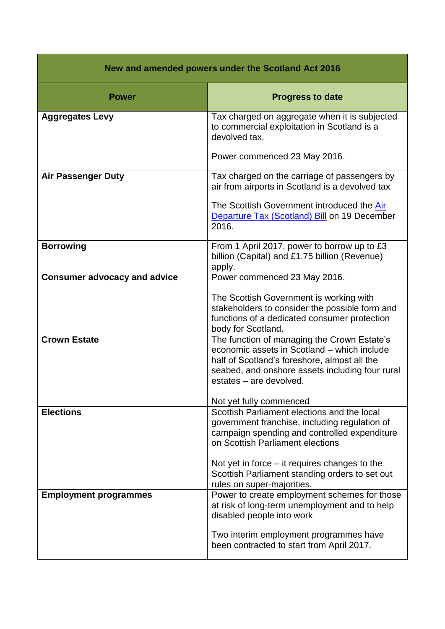| New and amended powers under the Scotland Act 2016 |                                                                                                                                                                                                                                                                                                                     |  |
|----------------------------------------------------|---------------------------------------------------------------------------------------------------------------------------------------------------------------------------------------------------------------------------------------------------------------------------------------------------------------------|--|
| <b>Power</b>                                       | <b>Progress to date</b>                                                                                                                                                                                                                                                                                             |  |
| <b>Aggregates Levy</b>                             | Tax charged on aggregate when it is subjected<br>to commercial exploitation in Scotland is a<br>devolved tax.<br>Power commenced 23 May 2016.                                                                                                                                                                       |  |
| <b>Air Passenger Duty</b>                          | Tax charged on the carriage of passengers by<br>air from airports in Scotland is a devolved tax<br>The Scottish Government introduced the Air<br>Departure Tax (Scotland) Bill on 19 December<br>2016.                                                                                                              |  |
| <b>Borrowing</b>                                   | From 1 April 2017, power to borrow up to £3<br>billion (Capital) and £1.75 billion (Revenue)<br>apply.                                                                                                                                                                                                              |  |
| <b>Consumer advocacy and advice</b>                | Power commenced 23 May 2016.<br>The Scottish Government is working with<br>stakeholders to consider the possible form and<br>functions of a dedicated consumer protection<br>body for Scotland.                                                                                                                     |  |
| <b>Crown Estate</b>                                | The function of managing the Crown Estate's<br>economic assets in Scotland - which include<br>half of Scotland's foreshore, almost all the<br>seabed, and onshore assets including four rural<br>estates - are devolved.<br>Not yet fully commenced                                                                 |  |
| <b>Elections</b>                                   | Scottish Parliament elections and the local<br>government franchise, including regulation of<br>campaign spending and controlled expenditure<br>on Scottish Parliament elections<br>Not yet in force $-$ it requires changes to the<br>Scottish Parliament standing orders to set out<br>rules on super-majorities. |  |
| <b>Employment programmes</b>                       | Power to create employment schemes for those<br>at risk of long-term unemployment and to help<br>disabled people into work<br>Two interim employment programmes have<br>been contracted to start from April 2017.                                                                                                   |  |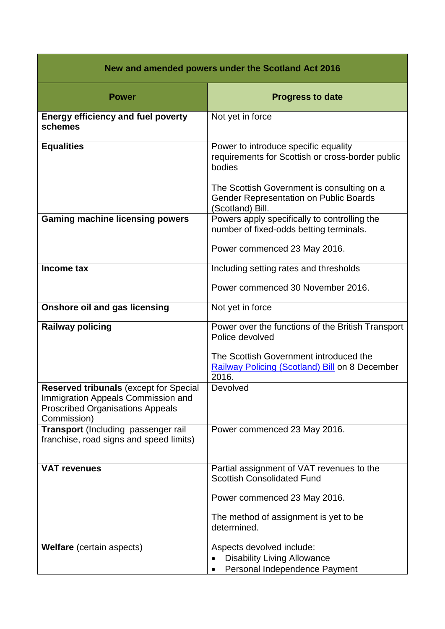| New and amended powers under the Scotland Act 2016                                                                                            |                                                                                                          |  |
|-----------------------------------------------------------------------------------------------------------------------------------------------|----------------------------------------------------------------------------------------------------------|--|
| <b>Power</b>                                                                                                                                  | <b>Progress to date</b>                                                                                  |  |
| <b>Energy efficiency and fuel poverty</b><br>schemes                                                                                          | Not yet in force                                                                                         |  |
| <b>Equalities</b>                                                                                                                             | Power to introduce specific equality<br>requirements for Scottish or cross-border public<br>bodies       |  |
|                                                                                                                                               | The Scottish Government is consulting on a<br>Gender Representation on Public Boards<br>(Scotland) Bill. |  |
| <b>Gaming machine licensing powers</b>                                                                                                        | Powers apply specifically to controlling the<br>number of fixed-odds betting terminals.                  |  |
|                                                                                                                                               | Power commenced 23 May 2016.                                                                             |  |
| Income tax                                                                                                                                    | Including setting rates and thresholds                                                                   |  |
|                                                                                                                                               | Power commenced 30 November 2016.                                                                        |  |
| <b>Onshore oil and gas licensing</b>                                                                                                          | Not yet in force                                                                                         |  |
| <b>Railway policing</b>                                                                                                                       | Power over the functions of the British Transport<br>Police devolved                                     |  |
|                                                                                                                                               | The Scottish Government introduced the<br>Railway Policing (Scotland) Bill on 8 December<br>2016.        |  |
| <b>Reserved tribunals (except for Special</b><br>Immigration Appeals Commission and<br><b>Proscribed Organisations Appeals</b><br>Commission) | Devolved                                                                                                 |  |
| Transport (Including passenger rail<br>franchise, road signs and speed limits)                                                                | Power commenced 23 May 2016.                                                                             |  |
| <b>VAT revenues</b>                                                                                                                           | Partial assignment of VAT revenues to the<br><b>Scottish Consolidated Fund</b>                           |  |
|                                                                                                                                               | Power commenced 23 May 2016.                                                                             |  |
|                                                                                                                                               | The method of assignment is yet to be<br>determined.                                                     |  |
| <b>Welfare</b> (certain aspects)                                                                                                              | Aspects devolved include:<br><b>Disability Living Allowance</b><br>Personal Independence Payment         |  |